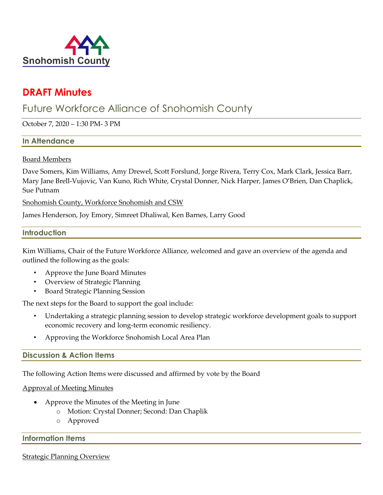

# **DRAFT Minutes**

# Future Workforce Alliance of Snohomish County

October 7, 2020 – 1:30 PM- 3 PM

### **In Attendance**

#### Board Members

Dave Somers, Kim Williams, Amy Drewel, Scott Forslund, Jorge Rivera, Terry Cox, Mark Clark, Jessica Barr, Mary Jane Brell-Vujovic, Van Kuno, Rich White, Crystal Donner, Nick Harper, James O'Brien, Dan Chaplick, Sue Putnam

Snohomish County, Workforce Snohomish and CSW

James Henderson, Joy Emory, Simreet Dhaliwal, Ken Barnes, Larry Good

#### **Introduction**

Kim Williams, Chair of the Future Workforce Alliance, welcomed and gave an overview of the agenda and outlined the following as the goals:

- Approve the June Board Minutes
- Overview of Strategic Planning
- Board Strategic Planning Session

The next steps for the Board to support the goal include:

- Undertaking a strategic planning session to develop strategic workforce development goals to support economic recovery and long-term economic resiliency.
- Approving the Workforce Snohomish Local Area Plan

### **Discussion & Action Items**

The following Action Items were discussed and affirmed by vote by the Board

Approval of Meeting Minutes

- Approve the Minutes of the Meeting in June
	- o Motion: Crystal Donner; Second: Dan Chaplik
	- o Approved

### **Information Items**

#### Strategic Planning Overview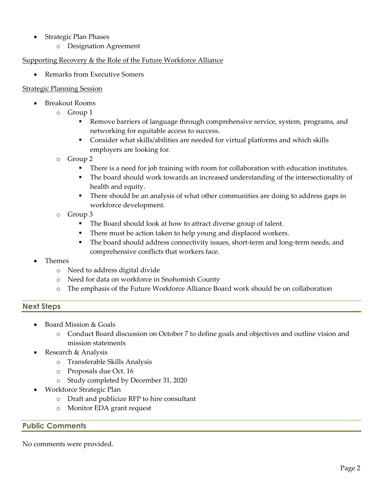- Strategic Plan Phases
	- o Designation Agreement

## Supporting Recovery & the Role of the Future Workforce Alliance

• Remarks from Executive Somers

### Strategic Planning Session

- Breakout Rooms
	- o Group 1
		- **EXEL** Remove barriers of language through comprehensive service, system, programs, and networking for equitable access to success.
		- Consider what skills/abilities are needed for virtual platforms and which skills employers are looking for.
	- o Group 2
		- **•** There is a need for job training with room for collaboration with education institutes.
		- The board should work towards an increased understanding of the intersectionality of health and equity.
		- **•** There should be an analysis of what other communities are doing to address gaps in workforce development.
	- o Group 3
		- The Board should look at how to attract diverse group of talent.
		- There must be action taken to help young and displaced workers.
		- **The board should address connectivity issues, short-term and long-term needs, and** comprehensive conflicts that workers face.
- Themes
	- o Need to address digital divide
	- o Need for data on workforce in Snohomish County
	- o The emphasis of the Future Workforce Alliance Board work should be on collaboration

## **Next Steps**

- Board Mission & Goals
	- o Conduct Board discussion on October 7 to define goals and objectives and outline vision and mission statements
- Research & Analysis
	- o Transferable Skills Analysis
	- o Proposals due Oct. 16
		- o Study completed by December 31, 2020
- Workforce Strategic Plan
	- o Draft and publicize RFP to hire consultant
	- o Monitor EDA grant request

**Public Comments**

No comments were provided.